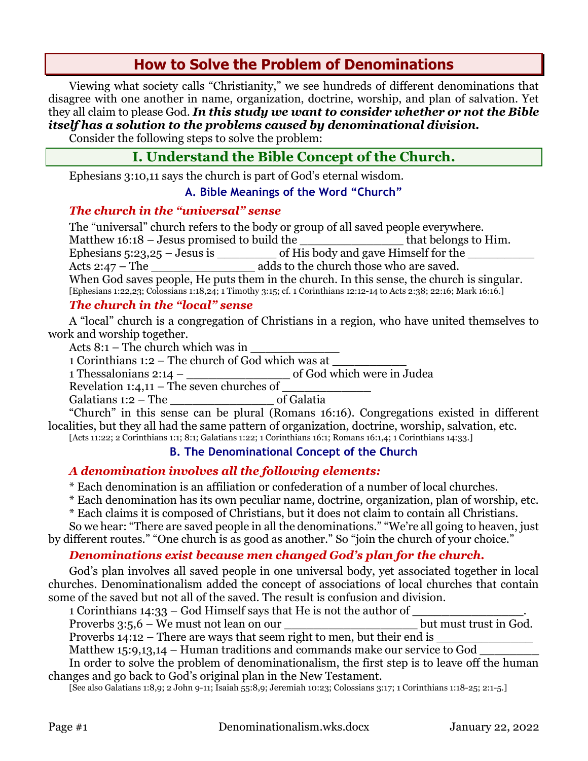# **How to Solve the Problem of Denominations**

Viewing what society calls "Christianity," we see hundreds of different denominations that disagree with one another in name, organization, doctrine, worship, and plan of salvation. Yet they all claim to please God. *In this study we want to consider whether or not the Bible itself has a solution to the problems caused by denominational division.*

Consider the following steps to solve the problem:

## **I. Understand the Bible Concept of the Church.**

Ephesians 3:10,11 says the church is part of God's eternal wisdom.

#### **A. Bible Meanings of the Word "Church"**

### *The church in the "universal" sense*

The "universal" church refers to the body or group of all saved people everywhere. Matthew 16:18 – Jesus promised to build the \_\_\_\_\_\_\_\_\_\_\_\_\_\_\_\_\_\_\_\_\_\_\_that belongs to Him. Ephesians 5:23,25 – Jesus is \_\_\_\_\_\_\_\_ of His body and gave Himself for the \_\_\_\_\_\_\_\_\_ Acts 2:47 – The adds to the church those who are saved. When God saves people, He puts them in the church. In this sense, the church is singular. [Ephesians 1:22,23; Colossians 1:18,24; 1 Timothy 3:15; cf. 1 Corinthians 12:12-14 to Acts 2:38; 22:16; Mark 16:16.]

## *The church in the "local" sense*

A "local" church is a congregation of Christians in a region, who have united themselves to work and worship together.

Acts  $8:1$  – The church which was in

1 Corinthians 1:2 – The church of God which was at \_\_\_\_\_\_\_\_\_\_

1 Thessalonians 2:14 – of God which were in Judea

Revelation  $1:4,11$  – The seven churches of

Galatians 1:2 – The of Galatia

"Church" in this sense can be plural (Romans 16:16). Congregations existed in different localities, but they all had the same pattern of organization, doctrine, worship, salvation, etc. [Acts 11:22; 2 Corinthians 1:1; 8:1; Galatians 1:22; 1 Corinthians 16:1; Romans 16:1,4; 1 Corinthians 14:33.]

## **B. The Denominational Concept of the Church**

## *A denomination involves all the following elements:*

\* Each denomination is an affiliation or confederation of a number of local churches.

\* Each denomination has its own peculiar name, doctrine, organization, plan of worship, etc.

\* Each claims it is composed of Christians, but it does not claim to contain all Christians.

So we hear: "There are saved people in all the denominations." "We're all going to heaven, just by different routes." "One church is as good as another." So "join the church of your choice."

## *Denominations exist because men changed God's plan for the church.*

God's plan involves all saved people in one universal body, yet associated together in local churches. Denominationalism added the concept of associations of local churches that contain some of the saved but not all of the saved. The result is confusion and division.

1 Corinthians  $14:33 - God Himself says that He is not the author of$ 

Proverbs 3:5,6 – We must not lean on our but must trust in God.

Proverbs  $14:12$  – There are ways that seem right to men, but their end is

Matthew 15:9,13,14 – Human traditions and commands make our service to God

In order to solve the problem of denominationalism, the first step is to leave off the human changes and go back to God's original plan in the New Testament.

[See also Galatians 1:8,9; 2 John 9-11; Isaiah 55:8,9; Jeremiah 10:23; Colossians 3:17; 1 Corinthians 1:18-25; 2:1-5.]